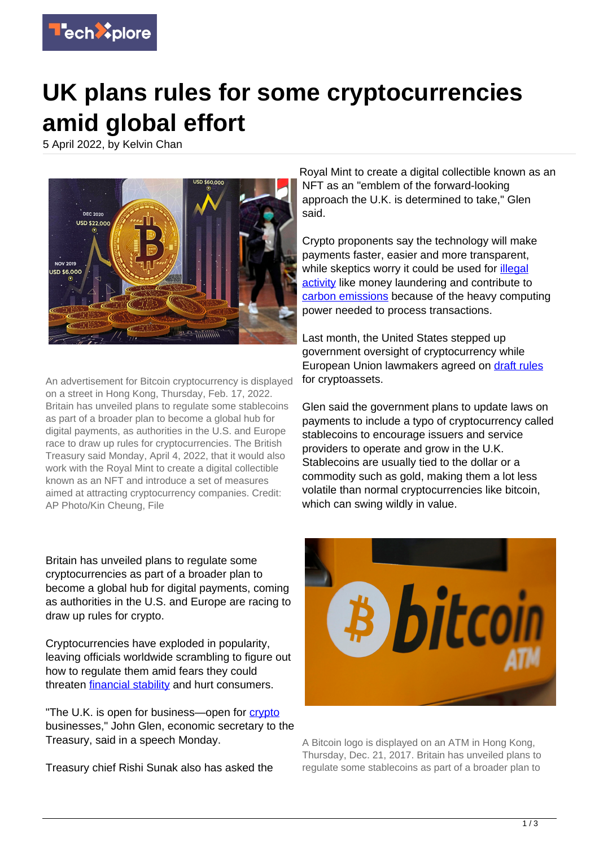

## **UK plans rules for some cryptocurrencies amid global effort**

5 April 2022, by Kelvin Chan



An advertisement for Bitcoin cryptocurrency is displayed on a street in Hong Kong, Thursday, Feb. 17, 2022. Britain has unveiled plans to regulate some stablecoins as part of a broader plan to become a global hub for digital payments, as authorities in the U.S. and Europe race to draw up rules for cryptocurrencies. The British Treasury said Monday, April 4, 2022, that it would also work with the Royal Mint to create a digital collectible known as an NFT and introduce a set of measures aimed at attracting cryptocurrency companies. Credit: AP Photo/Kin Cheung, File

Britain has unveiled plans to regulate some cryptocurrencies as part of a broader plan to become a global hub for digital payments, coming as authorities in the U.S. and Europe are racing to draw up rules for crypto.

Cryptocurrencies have exploded in popularity, leaving officials worldwide scrambling to figure out how to regulate them amid fears they could threaten *financial stability* and hurt consumers.

"The U.K. is open for business-open for [crypto](https://techxplore.com/tags/crypto/) businesses," John Glen, economic secretary to the Treasury, said in a speech Monday.

Treasury chief Rishi Sunak also has asked the

Royal Mint to create a digital collectible known as an NFT as an "emblem of the forward-looking approach the U.K. is determined to take," Glen said.

Crypto proponents say the technology will make payments faster, easier and more transparent, while skeptics worry it could be used for *illegal* [activity](https://techxplore.com/tags/illegal+activity/) like money laundering and contribute to [carbon emissions](https://techxplore.com/tags/carbon+emissions/) because of the heavy computing power needed to process transactions.

Last month, the United States stepped up government oversight of cryptocurrency while European Union lawmakers agreed on [draft rules](https://www.europarl.europa.eu/news/en/press-room/20220309IPR25162/cryptocurrencies-in-the-eu-new-rules-to-boost-benefits-and-curb-threats) for cryptoassets.

Glen said the government plans to update laws on payments to include a typo of cryptocurrency called stablecoins to encourage issuers and service providers to operate and grow in the U.K. Stablecoins are usually tied to the dollar or a commodity such as gold, making them a lot less volatile than normal cryptocurrencies like bitcoin, which can swing wildly in value.



A Bitcoin logo is displayed on an ATM in Hong Kong, Thursday, Dec. 21, 2017. Britain has unveiled plans to regulate some stablecoins as part of a broader plan to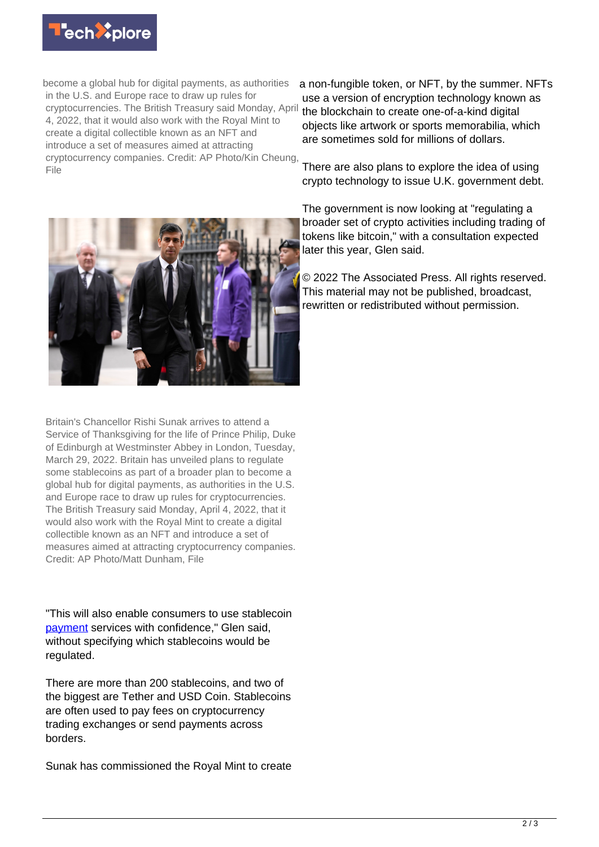

become a global hub for digital payments, as authorities in the U.S. and Europe race to draw up rules for cryptocurrencies. The British Treasury said Monday, April 4, 2022, that it would also work with the Royal Mint to create a digital collectible known as an NFT and introduce a set of measures aimed at attracting cryptocurrency companies. Credit: AP Photo/Kin Cheung, File

a non-fungible token, or NFT, by the summer. NFTs use a version of encryption technology known as the blockchain to create one-of-a-kind digital objects like artwork or sports memorabilia, which are sometimes sold for millions of dollars.

There are also plans to explore the idea of using crypto technology to issue U.K. government debt.

The government is now looking at "regulating a broader set of crypto activities including trading of tokens like bitcoin," with a consultation expected later this year, Glen said.

© 2022 The Associated Press. All rights reserved. This material may not be published, broadcast, rewritten or redistributed without permission.



Britain's Chancellor Rishi Sunak arrives to attend a Service of Thanksgiving for the life of Prince Philip, Duke of Edinburgh at Westminster Abbey in London, Tuesday, March 29, 2022. Britain has unveiled plans to regulate some stablecoins as part of a broader plan to become a global hub for digital payments, as authorities in the U.S. and Europe race to draw up rules for cryptocurrencies. The British Treasury said Monday, April 4, 2022, that it would also work with the Royal Mint to create a digital collectible known as an NFT and introduce a set of measures aimed at attracting cryptocurrency companies. Credit: AP Photo/Matt Dunham, File

"This will also enable consumers to use stablecoin [payment](https://techxplore.com/tags/payment/) services with confidence," Glen said, without specifying which stablecoins would be regulated.

There are more than 200 stablecoins, and two of the biggest are Tether and USD Coin. Stablecoins are often used to pay fees on cryptocurrency trading exchanges or send payments across borders.

Sunak has commissioned the Royal Mint to create